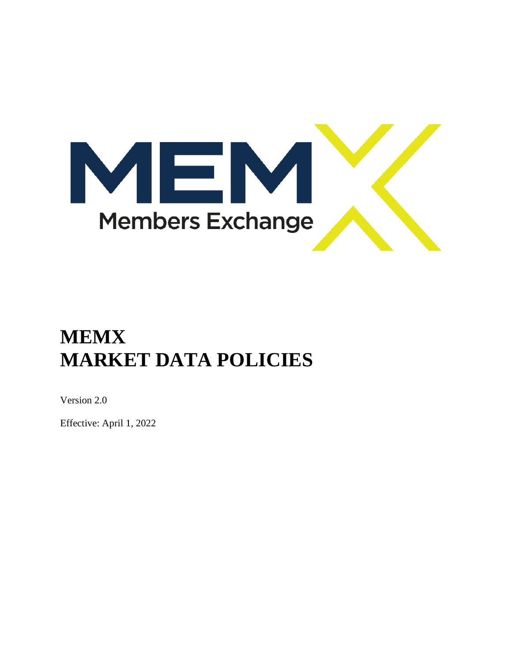

# **MEMX MARKET DATA POLICIES**

Version 2.0

Effective: April 1, 2022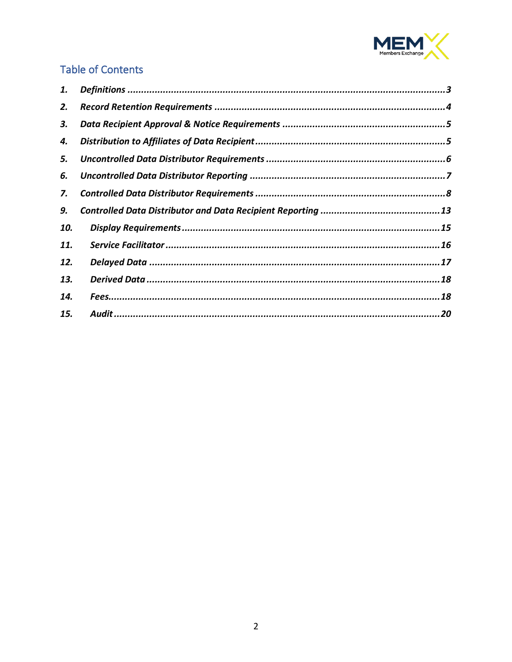

# **Table of Contents**

| 1.  |  |
|-----|--|
| 2.  |  |
| 3.  |  |
| 4.  |  |
| 5.  |  |
| 6.  |  |
| 7.  |  |
| 9.  |  |
| 10. |  |
| 11. |  |
| 12. |  |
| 13. |  |
| 14. |  |
| 15. |  |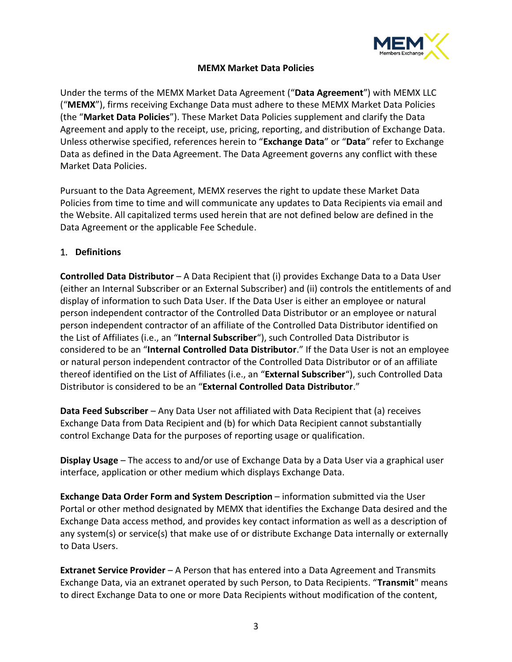

#### **MEMX Market Data Policies**

Under the terms of the MEMX Market Data Agreement ("**Data Agreement**") with MEMX LLC ("**MEMX**"), firms receiving Exchange Data must adhere to these MEMX Market Data Policies (the "**Market Data Policies**"). These Market Data Policies supplement and clarify the Data Agreement and apply to the receipt, use, pricing, reporting, and distribution of Exchange Data. Unless otherwise specified, references herein to "**Exchange Data**" or "**Data**" refer to Exchange Data as defined in the Data Agreement. The Data Agreement governs any conflict with these Market Data Policies.

Pursuant to the Data Agreement, MEMX reserves the right to update these Market Data Policies from time to time and will communicate any updates to Data Recipients via email and the Website. All capitalized terms used herein that are not defined below are defined in the Data Agreement or the applicable Fee Schedule.

#### <span id="page-2-0"></span>1. **Definitions**

**Controlled Data Distributor** – A Data Recipient that (i) provides Exchange Data to a Data User (either an Internal Subscriber or an External Subscriber) and (ii) controls the entitlements of and display of information to such Data User. If the Data User is either an employee or natural person independent contractor of the Controlled Data Distributor or an employee or natural person independent contractor of an affiliate of the Controlled Data Distributor identified on the List of Affiliates (i.e., an "**Internal Subscriber**"), such Controlled Data Distributor is considered to be an "**Internal Controlled Data Distributor**." If the Data User is not an employee or natural person independent contractor of the Controlled Data Distributor or of an affiliate thereof identified on the List of Affiliates (i.e., an "**External Subscriber**"), such Controlled Data Distributor is considered to be an "**External Controlled Data Distributor**."

**Data Feed Subscriber** – Any Data User not affiliated with Data Recipient that (a) receives Exchange Data from Data Recipient and (b) for which Data Recipient cannot substantially control Exchange Data for the purposes of reporting usage or qualification.

**Display Usage** – The access to and/or use of Exchange Data by a Data User via a graphical user interface, application or other medium which displays Exchange Data.

**Exchange Data Order Form and System Description** – information submitted via the User Portal or other method designated by MEMX that identifies the Exchange Data desired and the Exchange Data access method, and provides key contact information as well as a description of any system(s) or service(s) that make use of or distribute Exchange Data internally or externally to Data Users.

**Extranet Service Provider** – A Person that has entered into a Data Agreement and Transmits Exchange Data, via an extranet operated by such Person, to Data Recipients. "**Transmit**" means to direct Exchange Data to one or more Data Recipients without modification of the content,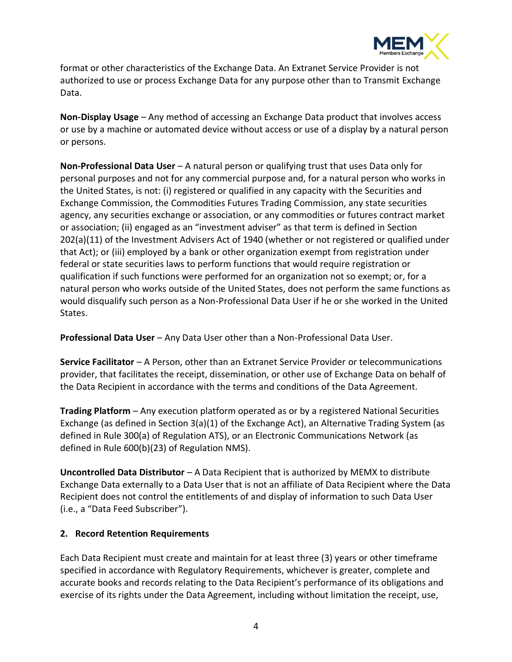

format or other characteristics of the Exchange Data. An Extranet Service Provider is not authorized to use or process Exchange Data for any purpose other than to Transmit Exchange Data.

**Non-Display Usage** – Any method of accessing an Exchange Data product that involves access or use by a machine or automated device without access or use of a display by a natural person or persons.

**Non-Professional Data User** – A natural person or qualifying trust that uses Data only for personal purposes and not for any commercial purpose and, for a natural person who works in the United States, is not: (i) registered or qualified in any capacity with the Securities and Exchange Commission, the Commodities Futures Trading Commission, any state securities agency, any securities exchange or association, or any commodities or futures contract market or association; (ii) engaged as an "investment adviser" as that term is defined in Section 202(a)(11) of the Investment Advisers Act of 1940 (whether or not registered or qualified under that Act); or (iii) employed by a bank or other organization exempt from registration under federal or state securities laws to perform functions that would require registration or qualification if such functions were performed for an organization not so exempt; or, for a natural person who works outside of the United States, does not perform the same functions as would disqualify such person as a Non-Professional Data User if he or she worked in the United States.

**Professional Data User** – Any Data User other than a Non-Professional Data User.

**Service Facilitator** – A Person, other than an Extranet Service Provider or telecommunications provider, that facilitates the receipt, dissemination, or other use of Exchange Data on behalf of the Data Recipient in accordance with the terms and conditions of the Data Agreement.

**Trading Platform** – Any execution platform operated as or by a registered National Securities Exchange (as defined in Section 3(a)(1) of the Exchange Act), an Alternative Trading System (as defined in Rule 300(a) of Regulation ATS), or an Electronic Communications Network (as defined in Rule 600(b)(23) of Regulation NMS).

**Uncontrolled Data Distributor** – A Data Recipient that is authorized by MEMX to distribute Exchange Data externally to a Data User that is not an affiliate of Data Recipient where the Data Recipient does not control the entitlements of and display of information to such Data User (i.e., a "Data Feed Subscriber").

# <span id="page-3-0"></span>**2. Record Retention Requirements**

Each Data Recipient must create and maintain for at least three (3) years or other timeframe specified in accordance with Regulatory Requirements, whichever is greater, complete and accurate books and records relating to the Data Recipient's performance of its obligations and exercise of its rights under the Data Agreement, including without limitation the receipt, use,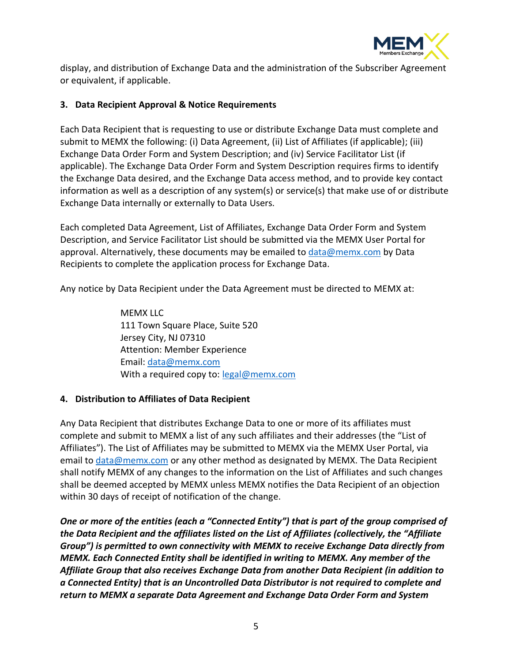

display, and distribution of Exchange Data and the administration of the Subscriber Agreement or equivalent, if applicable.

#### <span id="page-4-0"></span>**3. Data Recipient Approval & Notice Requirements**

Each Data Recipient that is requesting to use or distribute Exchange Data must complete and submit to MEMX the following: (i) Data Agreement, (ii) List of Affiliates (if applicable); (iii) Exchange Data Order Form and System Description; and (iv) Service Facilitator List (if applicable). The Exchange Data Order Form and System Description requires firms to identify the Exchange Data desired, and the Exchange Data access method, and to provide key contact information as well as a description of any system(s) or service(s) that make use of or distribute Exchange Data internally or externally to Data Users.

Each completed Data Agreement, List of Affiliates, Exchange Data Order Form and System Description, and Service Facilitator List should be submitted via the MEMX User Portal for approval. Alternatively, these documents may be emailed to [data@memx.com](mailto:data@memx.com) by Data Recipients to complete the application process for Exchange Data.

Any notice by Data Recipient under the Data Agreement must be directed to MEMX at:

MEMX LLC 111 Town Square Place, Suite 520 Jersey City, NJ 07310 Attention: Member Experience Email: [data@memx.com](mailto:data@memx.com) With a required copy to: [legal@memx.com](mailto:legal@memx.com)

#### <span id="page-4-1"></span>**4. Distribution to Affiliates of Data Recipient**

Any Data Recipient that distributes Exchange Data to one or more of its affiliates must complete and submit to MEMX a list of any such affiliates and their addresses (the "List of Affiliates"). The List of Affiliates may be submitted to MEMX via the MEMX User Portal, via email to [data@memx.com](mailto:data@memx.com) or any other method as designated by MEMX. The Data Recipient shall notify MEMX of any changes to the information on the List of Affiliates and such changes shall be deemed accepted by MEMX unless MEMX notifies the Data Recipient of an objection within 30 days of receipt of notification of the change.

*One or more of the entities (each a "Connected Entity") that is part of the group comprised of the Data Recipient and the affiliates listed on the List of Affiliates (collectively, the "Affiliate Group") is permitted to own connectivity with MEMX to receive Exchange Data directly from MEMX. Each Connected Entity shall be identified in writing to MEMX. Any member of the Affiliate Group that also receives Exchange Data from another Data Recipient (in addition to a Connected Entity) that is an Uncontrolled Data Distributor is not required to complete and return to MEMX a separate Data Agreement and Exchange Data Order Form and System*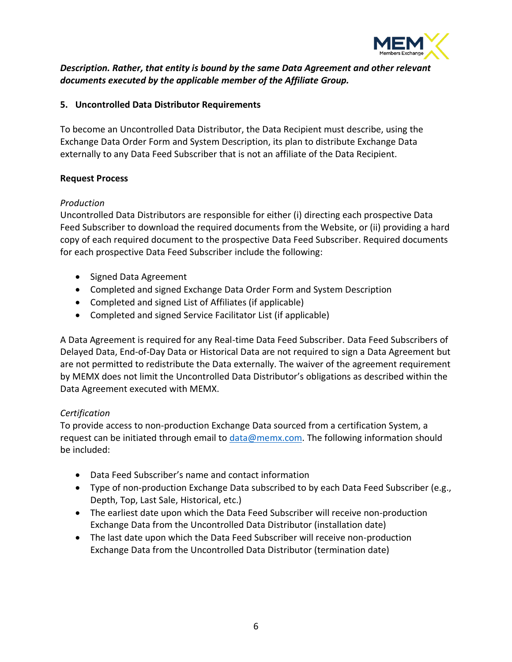

# *Description. Rather, that entity is bound by the same Data Agreement and other relevant documents executed by the applicable member of the Affiliate Group.*

#### <span id="page-5-0"></span>**5. Uncontrolled Data Distributor Requirements**

To become an Uncontrolled Data Distributor, the Data Recipient must describe, using the Exchange Data Order Form and System Description, its plan to distribute Exchange Data externally to any Data Feed Subscriber that is not an affiliate of the Data Recipient.

#### **Request Process**

#### *Production*

Uncontrolled Data Distributors are responsible for either (i) directing each prospective Data Feed Subscriber to download the required documents from the Website, or (ii) providing a hard copy of each required document to the prospective Data Feed Subscriber. Required documents for each prospective Data Feed Subscriber include the following:

- Signed Data Agreement
- Completed and signed Exchange Data Order Form and System Description
- Completed and signed List of Affiliates (if applicable)
- Completed and signed Service Facilitator List (if applicable)

A Data Agreement is required for any Real-time Data Feed Subscriber. Data Feed Subscribers of Delayed Data, End-of-Day Data or Historical Data are not required to sign a Data Agreement but are not permitted to redistribute the Data externally. The waiver of the agreement requirement by MEMX does not limit the Uncontrolled Data Distributor's obligations as described within the Data Agreement executed with MEMX.

# *Certification*

To provide access to non-production Exchange Data sourced from a certification System, a request can be initiated through email to [data@memx.com.](mailto:data@memx.com) The following information should be included:

- Data Feed Subscriber's name and contact information
- Type of non-production Exchange Data subscribed to by each Data Feed Subscriber (e.g., Depth, Top, Last Sale, Historical, etc.)
- The earliest date upon which the Data Feed Subscriber will receive non-production Exchange Data from the Uncontrolled Data Distributor (installation date)
- The last date upon which the Data Feed Subscriber will receive non-production Exchange Data from the Uncontrolled Data Distributor (termination date)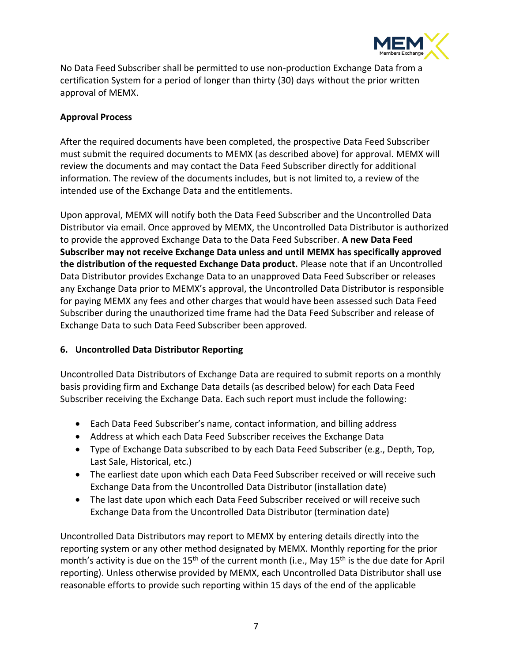

No Data Feed Subscriber shall be permitted to use non-production Exchange Data from a certification System for a period of longer than thirty (30) days without the prior written approval of MEMX.

# **Approval Process**

After the required documents have been completed, the prospective Data Feed Subscriber must submit the required documents to MEMX (as described above) for approval. MEMX will review the documents and may contact the Data Feed Subscriber directly for additional information. The review of the documents includes, but is not limited to, a review of the intended use of the Exchange Data and the entitlements.

Upon approval, MEMX will notify both the Data Feed Subscriber and the Uncontrolled Data Distributor via email. Once approved by MEMX, the Uncontrolled Data Distributor is authorized to provide the approved Exchange Data to the Data Feed Subscriber. **A new Data Feed Subscriber may not receive Exchange Data unless and until MEMX has specifically approved the distribution of the requested Exchange Data product.** Please note that if an Uncontrolled Data Distributor provides Exchange Data to an unapproved Data Feed Subscriber or releases any Exchange Data prior to MEMX's approval, the Uncontrolled Data Distributor is responsible for paying MEMX any fees and other charges that would have been assessed such Data Feed Subscriber during the unauthorized time frame had the Data Feed Subscriber and release of Exchange Data to such Data Feed Subscriber been approved.

# <span id="page-6-0"></span>**6. Uncontrolled Data Distributor Reporting**

Uncontrolled Data Distributors of Exchange Data are required to submit reports on a monthly basis providing firm and Exchange Data details (as described below) for each Data Feed Subscriber receiving the Exchange Data. Each such report must include the following:

- Each Data Feed Subscriber's name, contact information, and billing address
- Address at which each Data Feed Subscriber receives the Exchange Data
- Type of Exchange Data subscribed to by each Data Feed Subscriber (e.g., Depth, Top, Last Sale, Historical, etc.)
- The earliest date upon which each Data Feed Subscriber received or will receive such Exchange Data from the Uncontrolled Data Distributor (installation date)
- The last date upon which each Data Feed Subscriber received or will receive such Exchange Data from the Uncontrolled Data Distributor (termination date)

Uncontrolled Data Distributors may report to MEMX by entering details directly into the reporting system or any other method designated by MEMX. Monthly reporting for the prior month's activity is due on the 15<sup>th</sup> of the current month (i.e., May 15<sup>th</sup> is the due date for April reporting). Unless otherwise provided by MEMX, each Uncontrolled Data Distributor shall use reasonable efforts to provide such reporting within 15 days of the end of the applicable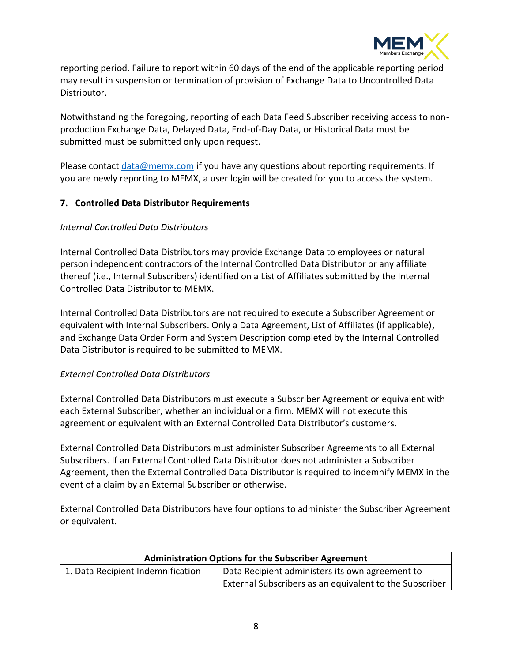

reporting period. Failure to report within 60 days of the end of the applicable reporting period may result in suspension or termination of provision of Exchange Data to Uncontrolled Data Distributor.

Notwithstanding the foregoing, reporting of each Data Feed Subscriber receiving access to nonproduction Exchange Data, Delayed Data, End-of-Day Data, or Historical Data must be submitted must be submitted only upon request.

Please contact [data@memx.com](mailto:data@memx.com) if you have any questions about reporting requirements. If you are newly reporting to MEMX, a user login will be created for you to access the system.

#### <span id="page-7-0"></span>**7. Controlled Data Distributor Requirements**

#### *Internal Controlled Data Distributors*

Internal Controlled Data Distributors may provide Exchange Data to employees or natural person independent contractors of the Internal Controlled Data Distributor or any affiliate thereof (i.e., Internal Subscribers) identified on a List of Affiliates submitted by the Internal Controlled Data Distributor to MEMX.

Internal Controlled Data Distributors are not required to execute a Subscriber Agreement or equivalent with Internal Subscribers. Only a Data Agreement, List of Affiliates (if applicable), and Exchange Data Order Form and System Description completed by the Internal Controlled Data Distributor is required to be submitted to MEMX.

#### *External Controlled Data Distributors*

External Controlled Data Distributors must execute a Subscriber Agreement or equivalent with each External Subscriber, whether an individual or a firm. MEMX will not execute this agreement or equivalent with an External Controlled Data Distributor's customers.

External Controlled Data Distributors must administer Subscriber Agreements to all External Subscribers. If an External Controlled Data Distributor does not administer a Subscriber Agreement, then the External Controlled Data Distributor is required to indemnify MEMX in the event of a claim by an External Subscriber or otherwise.

External Controlled Data Distributors have four options to administer the Subscriber Agreement or equivalent.

| <b>Administration Options for the Subscriber Agreement</b> |                                                         |  |  |
|------------------------------------------------------------|---------------------------------------------------------|--|--|
| 1. Data Recipient Indemnification                          | Data Recipient administers its own agreement to         |  |  |
|                                                            | External Subscribers as an equivalent to the Subscriber |  |  |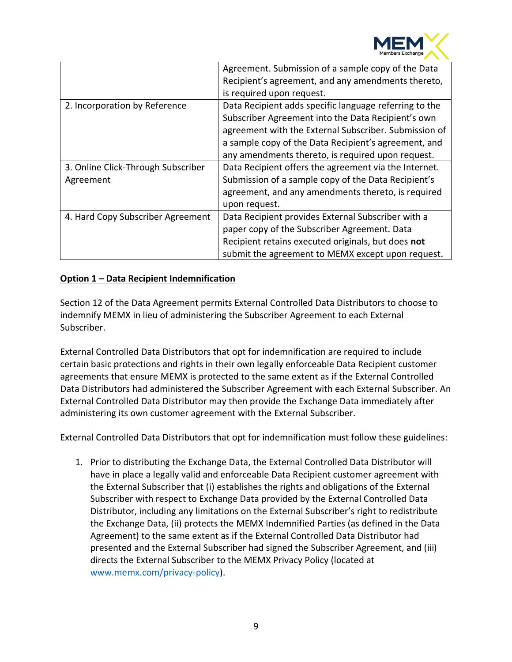

|                                    | Agreement. Submission of a sample copy of the Data     |
|------------------------------------|--------------------------------------------------------|
|                                    | Recipient's agreement, and any amendments thereto,     |
|                                    | is required upon request.                              |
| 2. Incorporation by Reference      | Data Recipient adds specific language referring to the |
|                                    | Subscriber Agreement into the Data Recipient's own     |
|                                    | agreement with the External Subscriber. Submission of  |
|                                    | a sample copy of the Data Recipient's agreement, and   |
|                                    | any amendments thereto, is required upon request.      |
| 3. Online Click-Through Subscriber | Data Recipient offers the agreement via the Internet.  |
| Agreement                          | Submission of a sample copy of the Data Recipient's    |
|                                    | agreement, and any amendments thereto, is required     |
|                                    | upon request.                                          |
| 4. Hard Copy Subscriber Agreement  | Data Recipient provides External Subscriber with a     |
|                                    | paper copy of the Subscriber Agreement. Data           |
|                                    | Recipient retains executed originals, but does not     |
|                                    | submit the agreement to MEMX except upon request.      |
|                                    |                                                        |

# **Option 1 – Data Recipient Indemnification**

Section 12 of the Data Agreement permits External Controlled Data Distributors to choose to indemnify MEMX in lieu of administering the Subscriber Agreement to each External Subscriber.

External Controlled Data Distributors that opt for indemnification are required to include certain basic protections and rights in their own legally enforceable Data Recipient customer agreements that ensure MEMX is protected to the same extent as if the External Controlled Data Distributors had administered the Subscriber Agreement with each External Subscriber. An External Controlled Data Distributor may then provide the Exchange Data immediately after administering its own customer agreement with the External Subscriber.

External Controlled Data Distributors that opt for indemnification must follow these guidelines:

1. Prior to distributing the Exchange Data, the External Controlled Data Distributor will have in place a legally valid and enforceable Data Recipient customer agreement with the External Subscriber that (i) establishes the rights and obligations of the External Subscriber with respect to Exchange Data provided by the External Controlled Data Distributor, including any limitations on the External Subscriber's right to redistribute the Exchange Data, (ii) protects the MEMX Indemnified Parties (as defined in the Data Agreement) to the same extent as if the External Controlled Data Distributor had presented and the External Subscriber had signed the Subscriber Agreement, and (iii) directs the External Subscriber to the MEMX Privacy Policy (located at [www.memx.com/privacy-policy\)](http://www.memx.com/privacy-policy).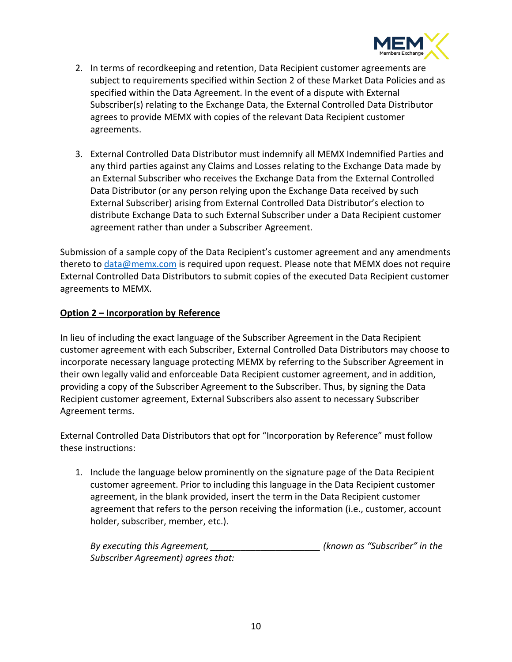

- 2. In terms of recordkeeping and retention, Data Recipient customer agreements are subject to requirements specified within Section 2 of these Market Data Policies and as specified within the Data Agreement. In the event of a dispute with External Subscriber(s) relating to the Exchange Data, the External Controlled Data Distributor agrees to provide MEMX with copies of the relevant Data Recipient customer agreements.
- 3. External Controlled Data Distributor must indemnify all MEMX Indemnified Parties and any third parties against any Claims and Losses relating to the Exchange Data made by an External Subscriber who receives the Exchange Data from the External Controlled Data Distributor (or any person relying upon the Exchange Data received by such External Subscriber) arising from External Controlled Data Distributor's election to distribute Exchange Data to such External Subscriber under a Data Recipient customer agreement rather than under a Subscriber Agreement.

Submission of a sample copy of the Data Recipient's customer agreement and any amendments thereto to [data@memx.com](mailto:data@memx.com) is required upon request. Please note that MEMX does not require External Controlled Data Distributors to submit copies of the executed Data Recipient customer agreements to MEMX.

# **Option 2 – Incorporation by Reference**

In lieu of including the exact language of the Subscriber Agreement in the Data Recipient customer agreement with each Subscriber, External Controlled Data Distributors may choose to incorporate necessary language protecting MEMX by referring to the Subscriber Agreement in their own legally valid and enforceable Data Recipient customer agreement, and in addition, providing a copy of the Subscriber Agreement to the Subscriber. Thus, by signing the Data Recipient customer agreement, External Subscribers also assent to necessary Subscriber Agreement terms.

External Controlled Data Distributors that opt for "Incorporation by Reference" must follow these instructions:

1. Include the language below prominently on the signature page of the Data Recipient customer agreement. Prior to including this language in the Data Recipient customer agreement, in the blank provided, insert the term in the Data Recipient customer agreement that refers to the person receiving the information (i.e., customer, account holder, subscriber, member, etc.).

| By executing this Agreement,       |  | (known as "Subscriber" in the |  |
|------------------------------------|--|-------------------------------|--|
| Subscriber Agreement) agrees that: |  |                               |  |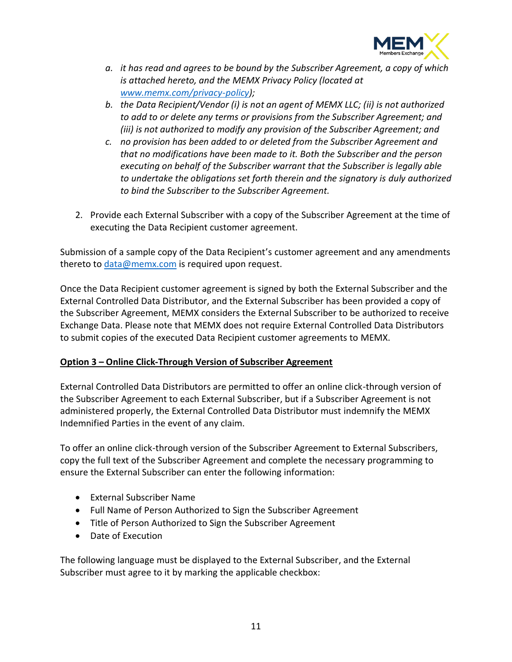

- *a. it has read and agrees to be bound by the Subscriber Agreement, a copy of which is attached hereto, and the MEMX Privacy Policy (located at [www.memx.com/privacy-policy\)](http://www.memx.com/privacy-policy);*
- *b. the Data Recipient/Vendor (i) is not an agent of MEMX LLC; (ii) is not authorized to add to or delete any terms or provisions from the Subscriber Agreement; and (iii) is not authorized to modify any provision of the Subscriber Agreement; and*
- *c. no provision has been added to or deleted from the Subscriber Agreement and that no modifications have been made to it. Both the Subscriber and the person executing on behalf of the Subscriber warrant that the Subscriber is legally able to undertake the obligations set forth therein and the signatory is duly authorized to bind the Subscriber to the Subscriber Agreement.*
- 2. Provide each External Subscriber with a copy of the Subscriber Agreement at the time of executing the Data Recipient customer agreement.

Submission of a sample copy of the Data Recipient's customer agreement and any amendments thereto to [data@memx.com](mailto:data@memx.com) is required upon request.

Once the Data Recipient customer agreement is signed by both the External Subscriber and the External Controlled Data Distributor, and the External Subscriber has been provided a copy of the Subscriber Agreement, MEMX considers the External Subscriber to be authorized to receive Exchange Data. Please note that MEMX does not require External Controlled Data Distributors to submit copies of the executed Data Recipient customer agreements to MEMX.

# **Option 3 – Online Click-Through Version of Subscriber Agreement**

External Controlled Data Distributors are permitted to offer an online click-through version of the Subscriber Agreement to each External Subscriber, but if a Subscriber Agreement is not administered properly, the External Controlled Data Distributor must indemnify the MEMX Indemnified Parties in the event of any claim.

To offer an online click-through version of the Subscriber Agreement to External Subscribers, copy the full text of the Subscriber Agreement and complete the necessary programming to ensure the External Subscriber can enter the following information:

- External Subscriber Name
- Full Name of Person Authorized to Sign the Subscriber Agreement
- Title of Person Authorized to Sign the Subscriber Agreement
- Date of Execution

The following language must be displayed to the External Subscriber, and the External Subscriber must agree to it by marking the applicable checkbox: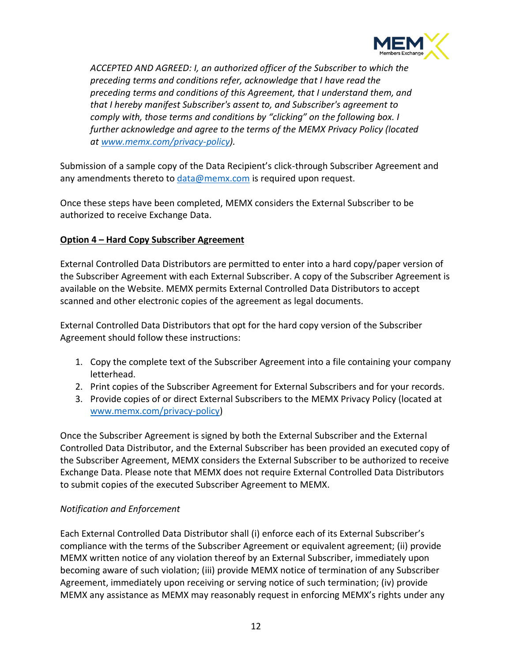

*ACCEPTED AND AGREED: I, an authorized officer of the Subscriber to which the preceding terms and conditions refer, acknowledge that I have read the preceding terms and conditions of this Agreement, that I understand them, and that I hereby manifest Subscriber's assent to, and Subscriber's agreement to comply with, those terms and conditions by "clicking" on the following box. I further acknowledge and agree to the terms of the MEMX Privacy Policy (located at [www.memx.com/privacy-policy\)](http://www.memx.com/privacy-policy).*

Submission of a sample copy of the Data Recipient's click-through Subscriber Agreement and any amendments thereto to  $data@$  memx.com is required upon request.

Once these steps have been completed, MEMX considers the External Subscriber to be authorized to receive Exchange Data.

# **Option 4 – Hard Copy Subscriber Agreement**

External Controlled Data Distributors are permitted to enter into a hard copy/paper version of the Subscriber Agreement with each External Subscriber. A copy of the Subscriber Agreement is available on the Website. MEMX permits External Controlled Data Distributors to accept scanned and other electronic copies of the agreement as legal documents.

External Controlled Data Distributors that opt for the hard copy version of the Subscriber Agreement should follow these instructions:

- 1. Copy the complete text of the Subscriber Agreement into a file containing your company letterhead.
- 2. Print copies of the Subscriber Agreement for External Subscribers and for your records.
- 3. Provide copies of or direct External Subscribers to the MEMX Privacy Policy (located at [www.memx.com/privacy-policy\)](http://www.memx.com/privacy-policy)

Once the Subscriber Agreement is signed by both the External Subscriber and the External Controlled Data Distributor, and the External Subscriber has been provided an executed copy of the Subscriber Agreement, MEMX considers the External Subscriber to be authorized to receive Exchange Data. Please note that MEMX does not require External Controlled Data Distributors to submit copies of the executed Subscriber Agreement to MEMX.

# *Notification and Enforcement*

Each External Controlled Data Distributor shall (i) enforce each of its External Subscriber's compliance with the terms of the Subscriber Agreement or equivalent agreement; (ii) provide MEMX written notice of any violation thereof by an External Subscriber, immediately upon becoming aware of such violation; (iii) provide MEMX notice of termination of any Subscriber Agreement, immediately upon receiving or serving notice of such termination; (iv) provide MEMX any assistance as MEMX may reasonably request in enforcing MEMX's rights under any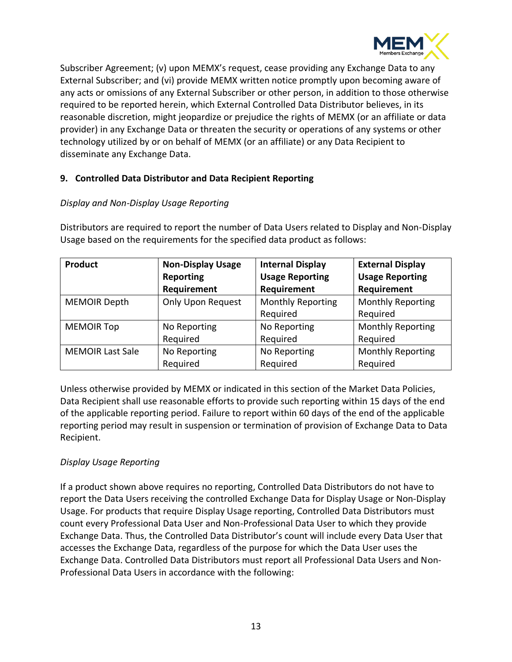

Subscriber Agreement; (v) upon MEMX's request, cease providing any Exchange Data to any External Subscriber; and (vi) provide MEMX written notice promptly upon becoming aware of any acts or omissions of any External Subscriber or other person, in addition to those otherwise required to be reported herein, which External Controlled Data Distributor believes, in its reasonable discretion, might jeopardize or prejudice the rights of MEMX (or an affiliate or data provider) in any Exchange Data or threaten the security or operations of any systems or other technology utilized by or on behalf of MEMX (or an affiliate) or any Data Recipient to disseminate any Exchange Data.

# <span id="page-12-0"></span>**9. Controlled Data Distributor and Data Recipient Reporting**

# *Display and Non-Display Usage Reporting*

Distributors are required to report the number of Data Users related to Display and Non-Display Usage based on the requirements for the specified data product as follows:

| Product                 | <b>Non-Display Usage</b> | <b>Internal Display</b>  | <b>External Display</b>  |
|-------------------------|--------------------------|--------------------------|--------------------------|
|                         | Reporting                | <b>Usage Reporting</b>   | <b>Usage Reporting</b>   |
|                         | Requirement              | Requirement              | Requirement              |
| <b>MEMOIR Depth</b>     | <b>Only Upon Request</b> | <b>Monthly Reporting</b> | <b>Monthly Reporting</b> |
|                         |                          | Required                 | Required                 |
| <b>MEMOIR Top</b>       | No Reporting             | No Reporting             | <b>Monthly Reporting</b> |
|                         | Required                 | Required                 | Required                 |
| <b>MEMOIR Last Sale</b> | No Reporting             | No Reporting             | <b>Monthly Reporting</b> |
|                         | Required                 | Required                 | Required                 |

Unless otherwise provided by MEMX or indicated in this section of the Market Data Policies, Data Recipient shall use reasonable efforts to provide such reporting within 15 days of the end of the applicable reporting period. Failure to report within 60 days of the end of the applicable reporting period may result in suspension or termination of provision of Exchange Data to Data Recipient.

# *Display Usage Reporting*

If a product shown above requires no reporting, Controlled Data Distributors do not have to report the Data Users receiving the controlled Exchange Data for Display Usage or Non-Display Usage. For products that require Display Usage reporting, Controlled Data Distributors must count every Professional Data User and Non-Professional Data User to which they provide Exchange Data. Thus, the Controlled Data Distributor's count will include every Data User that accesses the Exchange Data, regardless of the purpose for which the Data User uses the Exchange Data. Controlled Data Distributors must report all Professional Data Users and Non-Professional Data Users in accordance with the following: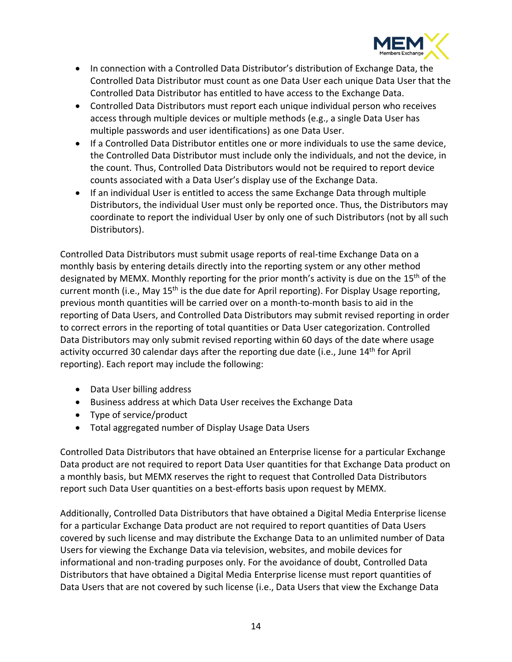

- In connection with a Controlled Data Distributor's distribution of Exchange Data, the Controlled Data Distributor must count as one Data User each unique Data User that the Controlled Data Distributor has entitled to have access to the Exchange Data.
- Controlled Data Distributors must report each unique individual person who receives access through multiple devices or multiple methods (e.g., a single Data User has multiple passwords and user identifications) as one Data User.
- If a Controlled Data Distributor entitles one or more individuals to use the same device, the Controlled Data Distributor must include only the individuals, and not the device, in the count. Thus, Controlled Data Distributors would not be required to report device counts associated with a Data User's display use of the Exchange Data.
- If an individual User is entitled to access the same Exchange Data through multiple Distributors, the individual User must only be reported once. Thus, the Distributors may coordinate to report the individual User by only one of such Distributors (not by all such Distributors).

Controlled Data Distributors must submit usage reports of real-time Exchange Data on a monthly basis by entering details directly into the reporting system or any other method designated by MEMX. Monthly reporting for the prior month's activity is due on the 15<sup>th</sup> of the current month (i.e., May 15<sup>th</sup> is the due date for April reporting). For Display Usage reporting, previous month quantities will be carried over on a month-to-month basis to aid in the reporting of Data Users, and Controlled Data Distributors may submit revised reporting in order to correct errors in the reporting of total quantities or Data User categorization. Controlled Data Distributors may only submit revised reporting within 60 days of the date where usage activity occurred 30 calendar days after the reporting due date (i.e., June 14<sup>th</sup> for April reporting). Each report may include the following:

- Data User billing address
- Business address at which Data User receives the Exchange Data
- Type of service/product
- Total aggregated number of Display Usage Data Users

Controlled Data Distributors that have obtained an Enterprise license for a particular Exchange Data product are not required to report Data User quantities for that Exchange Data product on a monthly basis, but MEMX reserves the right to request that Controlled Data Distributors report such Data User quantities on a best-efforts basis upon request by MEMX.

Additionally, Controlled Data Distributors that have obtained a Digital Media Enterprise license for a particular Exchange Data product are not required to report quantities of Data Users covered by such license and may distribute the Exchange Data to an unlimited number of Data Users for viewing the Exchange Data via television, websites, and mobile devices for informational and non-trading purposes only. For the avoidance of doubt, Controlled Data Distributors that have obtained a Digital Media Enterprise license must report quantities of Data Users that are not covered by such license (i.e., Data Users that view the Exchange Data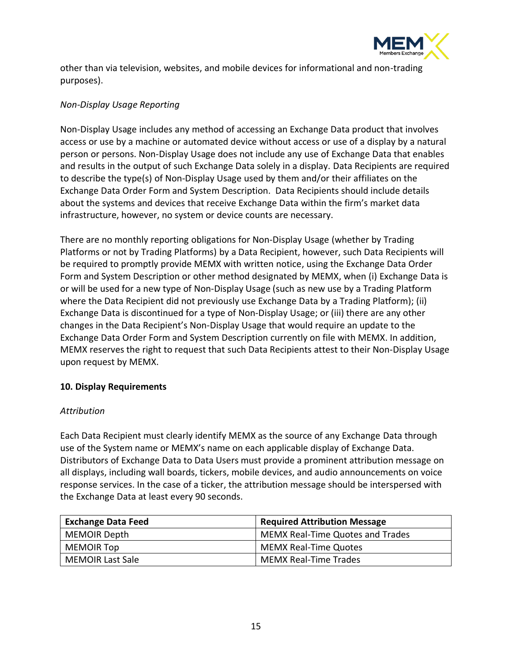

other than via television, websites, and mobile devices for informational and non-trading purposes).

#### *Non-Display Usage Reporting*

Non-Display Usage includes any method of accessing an Exchange Data product that involves access or use by a machine or automated device without access or use of a display by a natural person or persons. Non-Display Usage does not include any use of Exchange Data that enables and results in the output of such Exchange Data solely in a display. Data Recipients are required to describe the type(s) of Non-Display Usage used by them and/or their affiliates on the Exchange Data Order Form and System Description. Data Recipients should include details about the systems and devices that receive Exchange Data within the firm's market data infrastructure, however, no system or device counts are necessary.

There are no monthly reporting obligations for Non-Display Usage (whether by Trading Platforms or not by Trading Platforms) by a Data Recipient, however, such Data Recipients will be required to promptly provide MEMX with written notice, using the Exchange Data Order Form and System Description or other method designated by MEMX, when (i) Exchange Data is or will be used for a new type of Non-Display Usage (such as new use by a Trading Platform where the Data Recipient did not previously use Exchange Data by a Trading Platform); (ii) Exchange Data is discontinued for a type of Non-Display Usage; or (iii) there are any other changes in the Data Recipient's Non-Display Usage that would require an update to the Exchange Data Order Form and System Description currently on file with MEMX. In addition, MEMX reserves the right to request that such Data Recipients attest to their Non-Display Usage upon request by MEMX.

# <span id="page-14-0"></span>**10. Display Requirements**

#### *Attribution*

Each Data Recipient must clearly identify MEMX as the source of any Exchange Data through use of the System name or MEMX's name on each applicable display of Exchange Data. Distributors of Exchange Data to Data Users must provide a prominent attribution message on all displays, including wall boards, tickers, mobile devices, and audio announcements on voice response services. In the case of a ticker, the attribution message should be interspersed with the Exchange Data at least every 90 seconds.

| <b>Exchange Data Feed</b> | <b>Required Attribution Message</b>     |
|---------------------------|-----------------------------------------|
| MEMOIR Depth              | <b>MEMX Real-Time Quotes and Trades</b> |
| MEMOIR Top                | <b>MEMX Real-Time Quotes</b>            |
| <b>MEMOIR Last Sale</b>   | <b>MEMX Real-Time Trades</b>            |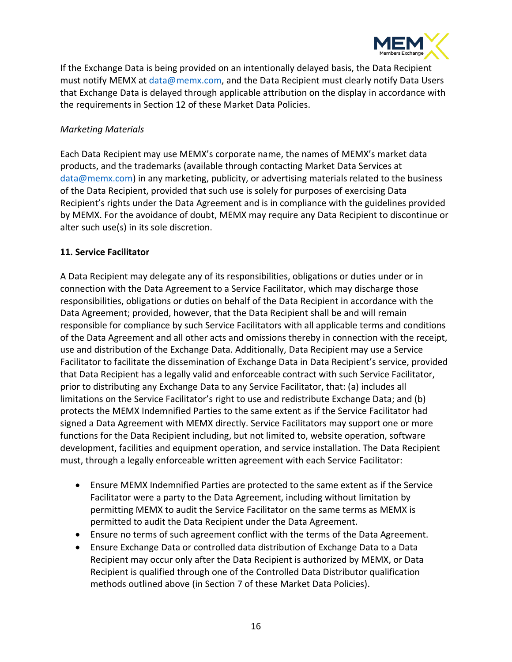

If the Exchange Data is being provided on an intentionally delayed basis, the Data Recipient must notify MEMX at [data@memx.com,](mailto:data@memx.com) and the Data Recipient must clearly notify Data Users that Exchange Data is delayed through applicable attribution on the display in accordance with the requirements in Section 12 of these Market Data Policies.

#### *Marketing Materials*

Each Data Recipient may use MEMX's corporate name, the names of MEMX's market data products, and the trademarks (available through contacting Market Data Services at [data@memx.com\)](mailto:data@memx.com) in any marketing, publicity, or advertising materials related to the business of the Data Recipient, provided that such use is solely for purposes of exercising Data Recipient's rights under the Data Agreement and is in compliance with the guidelines provided by MEMX. For the avoidance of doubt, MEMX may require any Data Recipient to discontinue or alter such use(s) in its sole discretion.

#### <span id="page-15-0"></span>**11. Service Facilitator**

A Data Recipient may delegate any of its responsibilities, obligations or duties under or in connection with the Data Agreement to a Service Facilitator, which may discharge those responsibilities, obligations or duties on behalf of the Data Recipient in accordance with the Data Agreement; provided, however, that the Data Recipient shall be and will remain responsible for compliance by such Service Facilitators with all applicable terms and conditions of the Data Agreement and all other acts and omissions thereby in connection with the receipt, use and distribution of the Exchange Data. Additionally, Data Recipient may use a Service Facilitator to facilitate the dissemination of Exchange Data in Data Recipient's service, provided that Data Recipient has a legally valid and enforceable contract with such Service Facilitator, prior to distributing any Exchange Data to any Service Facilitator, that: (a) includes all limitations on the Service Facilitator's right to use and redistribute Exchange Data; and (b) protects the MEMX Indemnified Parties to the same extent as if the Service Facilitator had signed a Data Agreement with MEMX directly. Service Facilitators may support one or more functions for the Data Recipient including, but not limited to, website operation, software development, facilities and equipment operation, and service installation. The Data Recipient must, through a legally enforceable written agreement with each Service Facilitator:

- Ensure MEMX Indemnified Parties are protected to the same extent as if the Service Facilitator were a party to the Data Agreement, including without limitation by permitting MEMX to audit the Service Facilitator on the same terms as MEMX is permitted to audit the Data Recipient under the Data Agreement.
- Ensure no terms of such agreement conflict with the terms of the Data Agreement.
- Ensure Exchange Data or controlled data distribution of Exchange Data to a Data Recipient may occur only after the Data Recipient is authorized by MEMX, or Data Recipient is qualified through one of the Controlled Data Distributor qualification methods outlined above (in Section 7 of these Market Data Policies).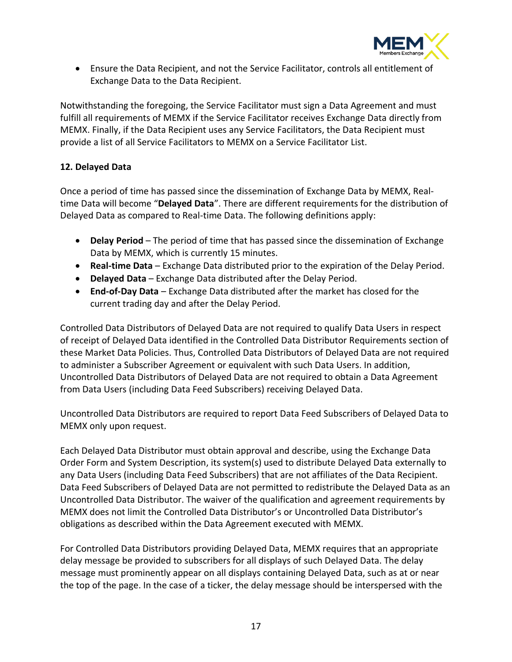

• Ensure the Data Recipient, and not the Service Facilitator, controls all entitlement of Exchange Data to the Data Recipient.

Notwithstanding the foregoing, the Service Facilitator must sign a Data Agreement and must fulfill all requirements of MEMX if the Service Facilitator receives Exchange Data directly from MEMX. Finally, if the Data Recipient uses any Service Facilitators, the Data Recipient must provide a list of all Service Facilitators to MEMX on a Service Facilitator List.

# <span id="page-16-0"></span>**12. Delayed Data**

Once a period of time has passed since the dissemination of Exchange Data by MEMX, Realtime Data will become "**Delayed Data**". There are different requirements for the distribution of Delayed Data as compared to Real-time Data. The following definitions apply:

- **Delay Period** The period of time that has passed since the dissemination of Exchange Data by MEMX, which is currently 15 minutes.
- **Real-time Data** Exchange Data distributed prior to the expiration of the Delay Period.
- **Delayed Data** Exchange Data distributed after the Delay Period.
- **End-of-Day Data** Exchange Data distributed after the market has closed for the current trading day and after the Delay Period.

Controlled Data Distributors of Delayed Data are not required to qualify Data Users in respect of receipt of Delayed Data identified in the Controlled Data Distributor Requirements section of these Market Data Policies. Thus, Controlled Data Distributors of Delayed Data are not required to administer a Subscriber Agreement or equivalent with such Data Users. In addition, Uncontrolled Data Distributors of Delayed Data are not required to obtain a Data Agreement from Data Users (including Data Feed Subscribers) receiving Delayed Data.

Uncontrolled Data Distributors are required to report Data Feed Subscribers of Delayed Data to MEMX only upon request.

Each Delayed Data Distributor must obtain approval and describe, using the Exchange Data Order Form and System Description, its system(s) used to distribute Delayed Data externally to any Data Users (including Data Feed Subscribers) that are not affiliates of the Data Recipient. Data Feed Subscribers of Delayed Data are not permitted to redistribute the Delayed Data as an Uncontrolled Data Distributor. The waiver of the qualification and agreement requirements by MEMX does not limit the Controlled Data Distributor's or Uncontrolled Data Distributor's obligations as described within the Data Agreement executed with MEMX.

For Controlled Data Distributors providing Delayed Data, MEMX requires that an appropriate delay message be provided to subscribers for all displays of such Delayed Data. The delay message must prominently appear on all displays containing Delayed Data, such as at or near the top of the page. In the case of a ticker, the delay message should be interspersed with the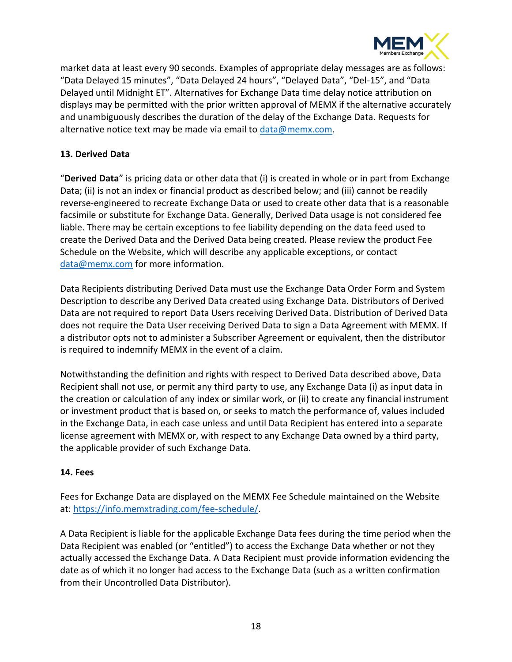

market data at least every 90 seconds. Examples of appropriate delay messages are as follows: "Data Delayed 15 minutes", "Data Delayed 24 hours", "Delayed Data", "Del-15", and "Data Delayed until Midnight ET". Alternatives for Exchange Data time delay notice attribution on displays may be permitted with the prior written approval of MEMX if the alternative accurately and unambiguously describes the duration of the delay of the Exchange Data. Requests for alternative notice text may be made via email to [data@memx.com.](mailto:data@memx.com)

# <span id="page-17-0"></span>**13. Derived Data**

"**Derived Data**" is pricing data or other data that (i) is created in whole or in part from Exchange Data; (ii) is not an index or financial product as described below; and (iii) cannot be readily reverse‐engineered to recreate Exchange Data or used to create other data that is a reasonable facsimile or substitute for Exchange Data. Generally, Derived Data usage is not considered fee liable. There may be certain exceptions to fee liability depending on the data feed used to create the Derived Data and the Derived Data being created. Please review the product Fee Schedule on the Website, which will describe any applicable exceptions, or contact [data@memx.com](mailto:data@memx.com) for more information.

Data Recipients distributing Derived Data must use the Exchange Data Order Form and System Description to describe any Derived Data created using Exchange Data. Distributors of Derived Data are not required to report Data Users receiving Derived Data. Distribution of Derived Data does not require the Data User receiving Derived Data to sign a Data Agreement with MEMX. If a distributor opts not to administer a Subscriber Agreement or equivalent, then the distributor is required to indemnify MEMX in the event of a claim.

Notwithstanding the definition and rights with respect to Derived Data described above, Data Recipient shall not use, or permit any third party to use, any Exchange Data (i) as input data in the creation or calculation of any index or similar work, or (ii) to create any financial instrument or investment product that is based on, or seeks to match the performance of, values included in the Exchange Data, in each case unless and until Data Recipient has entered into a separate license agreement with MEMX or, with respect to any Exchange Data owned by a third party, the applicable provider of such Exchange Data.

#### <span id="page-17-1"></span>**14. Fees**

Fees for Exchange Data are displayed on the MEMX Fee Schedule maintained on the Website at[: https://info.memxtrading.com/fee-schedule/.](https://info.memxtrading.com/fee-schedule/)

A Data Recipient is liable for the applicable Exchange Data fees during the time period when the Data Recipient was enabled (or "entitled") to access the Exchange Data whether or not they actually accessed the Exchange Data. A Data Recipient must provide information evidencing the date as of which it no longer had access to the Exchange Data (such as a written confirmation from their Uncontrolled Data Distributor).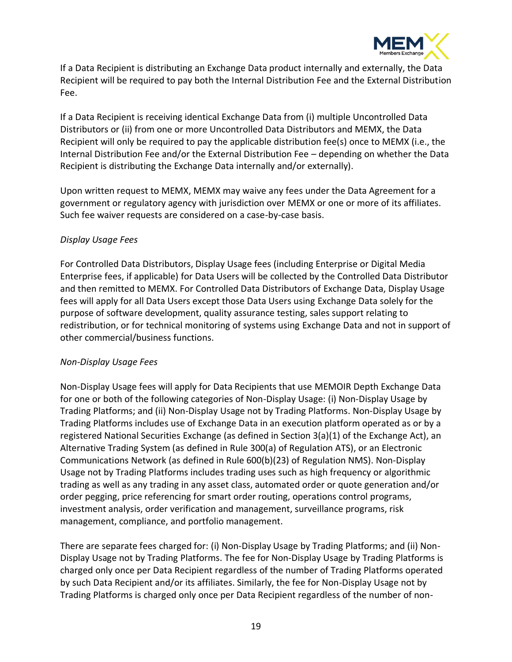

If a Data Recipient is distributing an Exchange Data product internally and externally, the Data Recipient will be required to pay both the Internal Distribution Fee and the External Distribution Fee.

If a Data Recipient is receiving identical Exchange Data from (i) multiple Uncontrolled Data Distributors or (ii) from one or more Uncontrolled Data Distributors and MEMX, the Data Recipient will only be required to pay the applicable distribution fee(s) once to MEMX (i.e., the Internal Distribution Fee and/or the External Distribution Fee – depending on whether the Data Recipient is distributing the Exchange Data internally and/or externally).

Upon written request to MEMX, MEMX may waive any fees under the Data Agreement for a government or regulatory agency with jurisdiction over MEMX or one or more of its affiliates. Such fee waiver requests are considered on a case-by-case basis.

#### *Display Usage Fees*

For Controlled Data Distributors, Display Usage fees (including Enterprise or Digital Media Enterprise fees, if applicable) for Data Users will be collected by the Controlled Data Distributor and then remitted to MEMX. For Controlled Data Distributors of Exchange Data, Display Usage fees will apply for all Data Users except those Data Users using Exchange Data solely for the purpose of software development, quality assurance testing, sales support relating to redistribution, or for technical monitoring of systems using Exchange Data and not in support of other commercial/business functions.

#### *Non-Display Usage Fees*

Non-Display Usage fees will apply for Data Recipients that use MEMOIR Depth Exchange Data for one or both of the following categories of Non-Display Usage: (i) Non-Display Usage by Trading Platforms; and (ii) Non-Display Usage not by Trading Platforms. Non-Display Usage by Trading Platforms includes use of Exchange Data in an execution platform operated as or by a registered National Securities Exchange (as defined in Section 3(a)(1) of the Exchange Act), an Alternative Trading System (as defined in Rule 300(a) of Regulation ATS), or an Electronic Communications Network (as defined in Rule 600(b)(23) of Regulation NMS). Non-Display Usage not by Trading Platforms includes trading uses such as high frequency or algorithmic trading as well as any trading in any asset class, automated order or quote generation and/or order pegging, price referencing for smart order routing, operations control programs, investment analysis, order verification and management, surveillance programs, risk management, compliance, and portfolio management.

There are separate fees charged for: (i) Non-Display Usage by Trading Platforms; and (ii) Non-Display Usage not by Trading Platforms. The fee for Non-Display Usage by Trading Platforms is charged only once per Data Recipient regardless of the number of Trading Platforms operated by such Data Recipient and/or its affiliates. Similarly, the fee for Non-Display Usage not by Trading Platforms is charged only once per Data Recipient regardless of the number of non-